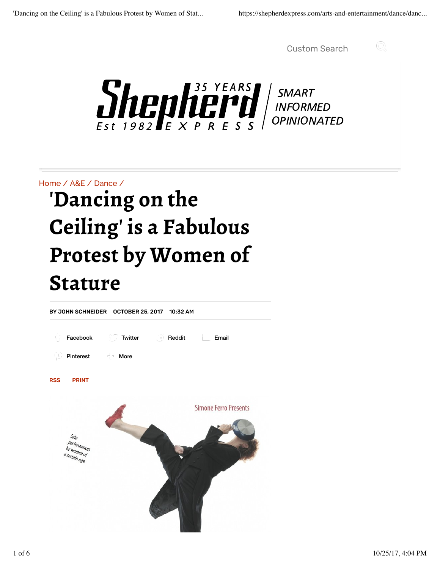Custom Search



 $\sum_{\text{Est 1982}}\prod_{\text{max}}\prod_{\text{max 100}}^{35 \text{ YEARS}}\prod_{\text{R}}\prod_{\text{S}}\prod_{\text{NFORMED}}$ 

Home / A&E / Dance /

# **'Dancing on the Ceiling' is a Fabulous Protest by Women of Stature**

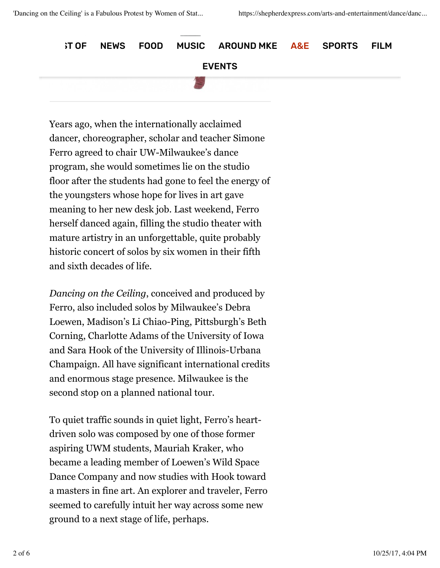**ST OF NEWS FOOD MUSIC AROUND MKE A&E SPORTS FILM** EVENTS 

Years ago, when the internationally acclaimed dancer, choreographer, scholar and teacher Simone Ferro agreed to chair UW-Milwaukee's dance program, she would sometimes lie on the studio floor after the students had gone to feel the energy of the youngsters whose hope for lives in art gave meaning to her new desk job. Last weekend, Ferro herself danced again, filling the studio theater with mature artistry in an unforgettable, quite probably historic concert of solos by six women in their fifth and sixth decades of life.

*Dancing on the Ceiling*, conceived and produced by Ferro, also included solos by Milwaukee's Debra Loewen, Madison's Li Chiao-Ping, Pittsburgh's Beth Corning, Charlotte Adams of the University of Iowa and Sara Hook of the University of Illinois-Urbana Champaign. All have significant international credits and enormous stage presence. Milwaukee is the second stop on a planned national tour.

To quiet traffic sounds in quiet light, Ferro's heartdriven solo was composed by one of those former aspiring UWM students, Mauriah Kraker, who became a leading member of Loewen's Wild Space Dance Company and now studies with Hook toward a masters in fine art. An explorer and traveler, Ferro seemed to carefully intuit her way across some new ground to a next stage of life, perhaps.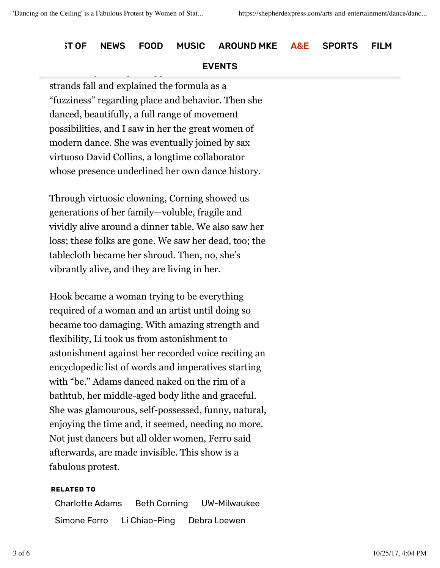### **ST OF NEWS FOOD MUSIC AROUND MKE A&E SPORTS FILM**

#### Uncertainty Principle, clipped her hair, let the hair, let the hair, let the hair, let the hair, let the hair, EVENTS

strands fall and explained the formula as a "fuzziness" regarding place and behavior. Then she danced, beautifully, a full range of movement possibilities, and I saw in her the great women of modern dance. She was eventually joined by sax virtuoso David Collins, a longtime collaborator whose presence underlined her own dance history.

Through virtuosic clowning, Corning showed us generations of her family—voluble, fragile and vividly alive around a dinner table. We also saw her loss; these folks are gone. We saw her dead, too; the tablecloth became her shroud. Then, no, she's vibrantly alive, and they are living in her.

Hook became a woman trying to be everything required of a woman and an artist until doing so became too damaging. With amazing strength and flexibility, Li took us from astonishment to astonishment against her recorded voice reciting an encyclopedic list of words and imperatives starting with "be." Adams danced naked on the rim of a bathtub, her middle-aged body lithe and graceful. She was glamourous, self-possessed, funny, natural, enjoying the time and, it seemed, needing no more. Not just dancers but all older women, Ferro said afterwards, are made invisible. This show is a fabulous protest.

#### **RELATED TO**

Charlotte Adams Beth Corning UW-Milwaukee Simone Ferro Li Chiao-Ping Debra Loewen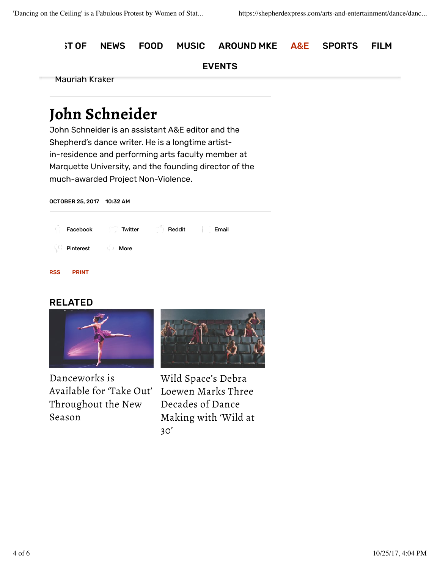**ST OF NEWS FOOD MUSIC AROUND MKE A&E SPORTS FILM** 

#### EVENTS

Mauriah Kraker

## **John Schneider**

John Schneider is an assistant A&E editor and the Shepherd's dance writer. He is a longtime artistin-residence and performing arts faculty member at Marquette University, and the founding director of the much-awarded Project Non-Violence.

OCTOBER 25, 2017 10:32 AM RSS PRINT Facebook  $\Box$  Twitter  $\Box$  Reddit Email Pinterest  $\Box$  More

#### RELATED



Danceworks is Available for 'Take Out' Loewen Marks Three Throughout the New Season



Wild Space's Debra Decades of Dance Making with 'Wild at 30'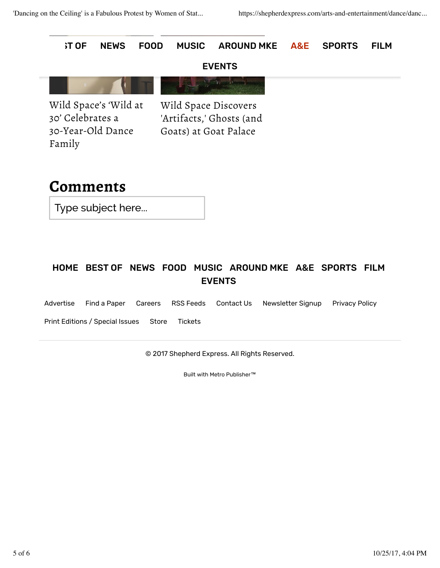

### HOME BEST OF NEWS FOOD MUSIC AROUND MKE A&E SPORTS FILM EVENTS

Advertise Find a Paper Careers RSS Feeds Contact Us Newsletter Signup Privacy Policy

Print Editions / Special Issues Store Tickets

© 2017 Shepherd Express. All Rights Reserved.

Built with Metro Publisher™